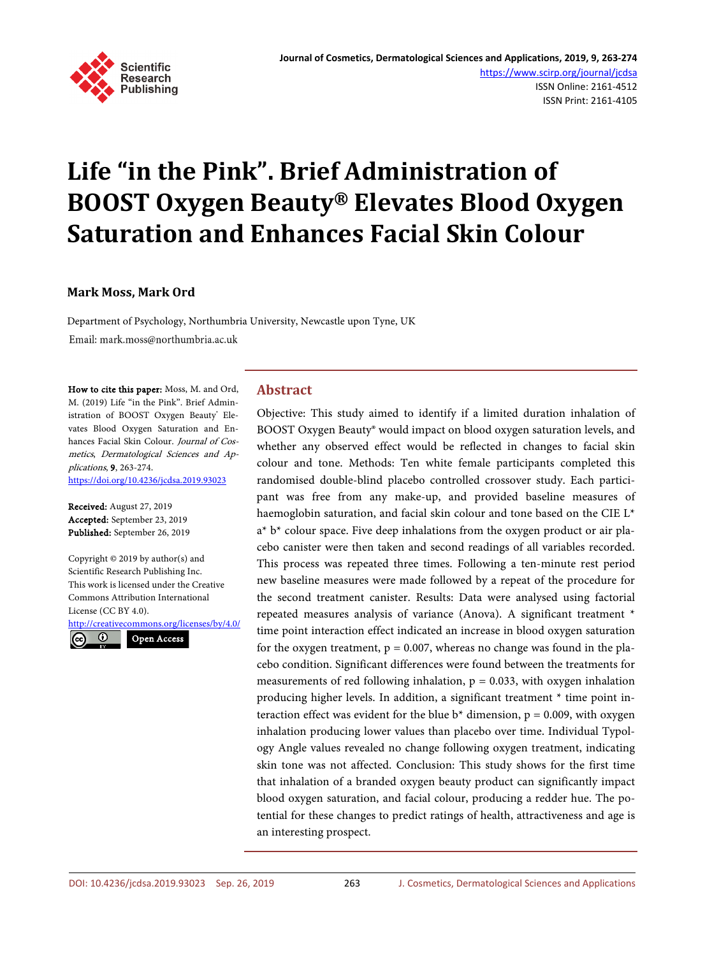

# **Life "in the Pink". Brief Administration of BOOST Oxygen Beauty® Elevates Blood Oxygen Saturation and Enhances Facial Skin Colour**

## **Mark Moss, Mark Ord**

Department of Psychology, Northumbria University, Newcastle upon Tyne, UK Email: mark.moss@northumbria.ac.uk

How to cite this paper: Moss, M. and Ord, M. (2019) Life "in the Pink". Brief Administration of BOOST Oxygen Beauty<sup>®</sup> Elevates Blood Oxygen Saturation and Enhances Facial Skin Colour. Journal of Cosmetics, Dermatological Sciences and Applications, 9, 263-274. <https://doi.org/10.4236/jcdsa.2019.93023>

Received: August 27, 2019 Accepted: September 23, 2019 Published: September 26, 2019

Copyright © 2019 by author(s) and Scientific Research Publishing Inc. This work is licensed under the Creative Commons Attribution International License (CC BY 4.0).

<http://creativecommons.org/licenses/by/4.0/>  $\odot$ Open Access

# **Abstract**

Objective: This study aimed to identify if a limited duration inhalation of BOOST Oxygen Beauty® would impact on blood oxygen saturation levels, and whether any observed effect would be reflected in changes to facial skin colour and tone. Methods: Ten white female participants completed this randomised double-blind placebo controlled crossover study. Each participant was free from any make-up, and provided baseline measures of haemoglobin saturation, and facial skin colour and tone based on the CIE L\*  $a^* b^*$  colour space. Five deep inhalations from the oxygen product or air placebo canister were then taken and second readings of all variables recorded. This process was repeated three times. Following a ten-minute rest period new baseline measures were made followed by a repeat of the procedure for the second treatment canister. Results: Data were analysed using factorial repeated measures analysis of variance (Anova). A significant treatment \* time point interaction effect indicated an increase in blood oxygen saturation for the oxygen treatment,  $p = 0.007$ , whereas no change was found in the placebo condition. Significant differences were found between the treatments for measurements of red following inhalation,  $p = 0.033$ , with oxygen inhalation producing higher levels. In addition, a significant treatment \* time point interaction effect was evident for the blue  $b^*$  dimension,  $p = 0.009$ , with oxygen inhalation producing lower values than placebo over time. Individual Typology Angle values revealed no change following oxygen treatment, indicating skin tone was not affected. Conclusion: This study shows for the first time that inhalation of a branded oxygen beauty product can significantly impact blood oxygen saturation, and facial colour, producing a redder hue. The potential for these changes to predict ratings of health, attractiveness and age is an interesting prospect.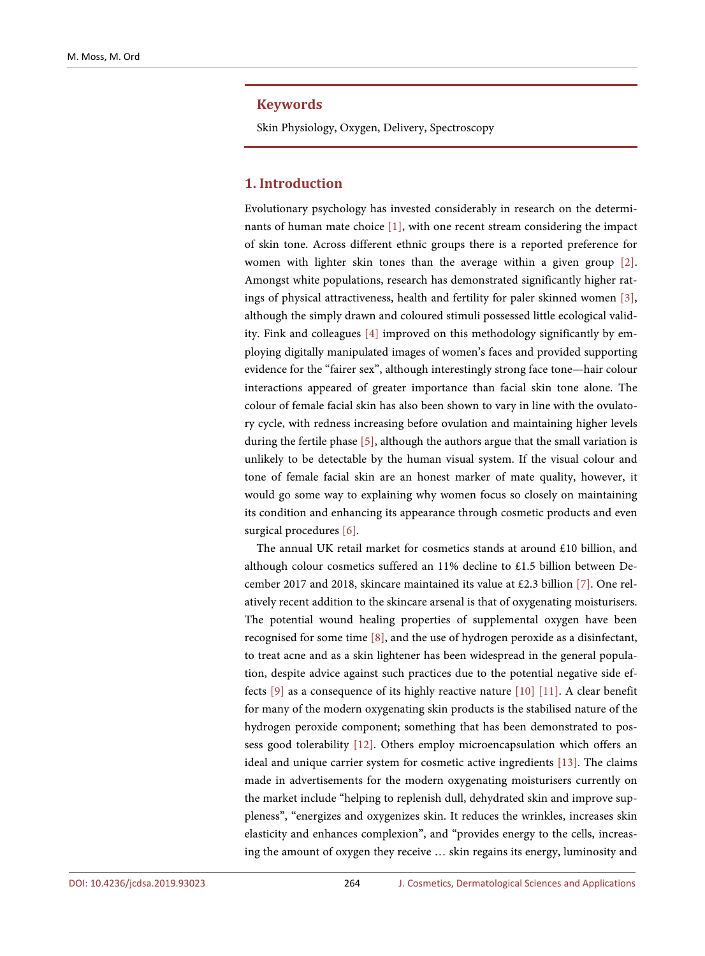#### **Keywords**

Skin Physiology, Oxygen, Delivery, Spectroscopy

## **1. Introduction**

Evolutionary psychology has invested considerably in research on the determinants of human mate choice [\[1\],](#page-9-0) with one recent stream considering the impact of skin tone. Across different ethnic groups there is a reported preference for women with lighter skin tones than the average within a given group [\[2\].](#page-9-1)  Amongst white populations, research has demonstrated significantly higher ratings of physical attractiveness, health and fertility for paler skinned women [\[3\],](#page-9-2)  although the simply drawn and coloured stimuli possessed little ecological validity. Fink and colleagues [\[4\]](#page-9-3) improved on this methodology significantly by employing digitally manipulated images of women's faces and provided supporting evidence for the "fairer sex", although interestingly strong face tone—hair colour interactions appeared of greater importance than facial skin tone alone. The colour of female facial skin has also been shown to vary in line with the ovulatory cycle, with redness increasing before ovulation and maintaining higher levels during the fertile phas[e \[5\],](#page-9-4) although the authors argue that the small variation is unlikely to be detectable by the human visual system. If the visual colour and tone of female facial skin are an honest marker of mate quality, however, it would go some way to explaining why women focus so closely on maintaining its condition and enhancing its appearance through cosmetic products and even surgical procedures [\[6\].](#page-9-5)

The annual UK retail market for cosmetics stands at around £10 billion, and although colour cosmetics suffered an 11% decline to £1.5 billion between December 2017 and 2018, skincare maintained its value at £2.3 billion [\[7\].](#page-9-6) One relatively recent addition to the skincare arsenal is that of oxygenating moisturisers. The potential wound healing properties of supplemental oxygen have been recognised for some time [\[8\],](#page-9-7) and the use of hydrogen peroxide as a disinfectant, to treat acne and as a skin lightener has been widespread in the general population, despite advice against such practices due to the potential negative side effects [\[9\]](#page-10-0) as a consequence of its highly reactive nature [\[10\]](#page-10-1) [\[11\].](#page-10-2) A clear benefit for many of the modern oxygenating skin products is the stabilised nature of the hydrogen peroxide component; something that has been demonstrated to possess good tolerability [\[12\].](#page-10-3) Others employ microencapsulation which offers an ideal and unique carrier system for cosmetic active ingredients [\[13\].](#page-10-4) The claims made in advertisements for the modern oxygenating moisturisers currently on the market include "helping to replenish dull, dehydrated skin and improve suppleness", "energizes and oxygenizes skin. It reduces the wrinkles, increases skin elasticity and enhances complexion", and "provides energy to the cells, increasing the amount of oxygen they receive … skin regains its energy, luminosity and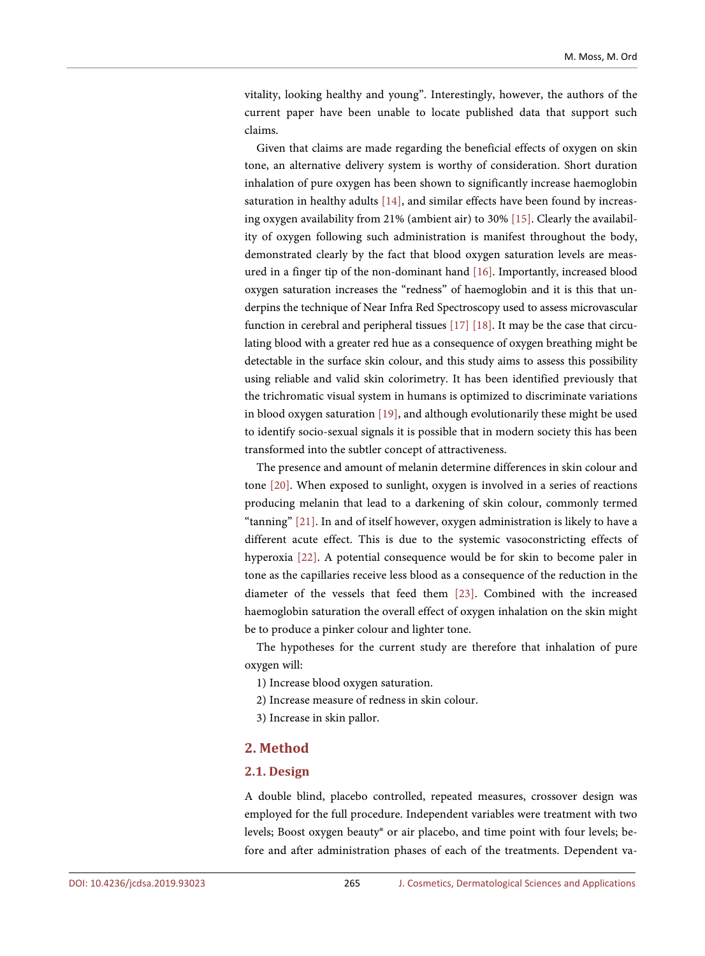vitality, looking healthy and young". Interestingly, however, the authors of the current paper have been unable to locate published data that support such claims.

Given that claims are made regarding the beneficial effects of oxygen on skin tone, an alternative delivery system is worthy of consideration. Short duration inhalation of pure oxygen has been shown to significantly increase haemoglobin saturation in healthy adults [\[14\],](#page-10-5) and similar effects have been found by increasing oxygen availability from 21% (ambient air) to 30% [\[15\].](#page-10-6) Clearly the availability of oxygen following such administration is manifest throughout the body, demonstrated clearly by the fact that blood oxygen saturation levels are measured in a finger tip of the non-dominant hand [\[16\].](#page-10-7) Importantly, increased blood oxygen saturation increases the "redness" of haemoglobin and it is this that underpins the technique of Near Infra Red Spectroscopy used to assess microvascular function in cerebral and peripheral tissues [\[17\]](#page-10-8) [\[18\].](#page-10-9) It may be the case that circulating blood with a greater red hue as a consequence of oxygen breathing might be detectable in the surface skin colour, and this study aims to assess this possibility using reliable and valid skin colorimetry. It has been identified previously that the trichromatic visual system in humans is optimized to discriminate variations in blood oxygen saturation [\[19\],](#page-10-10) and although evolutionarily these might be used to identify socio-sexual signals it is possible that in modern society this has been transformed into the subtler concept of attractiveness.

The presence and amount of melanin determine differences in skin colour and tone [\[20\].](#page-10-11) When exposed to sunlight, oxygen is involved in a series of reactions producing melanin that lead to a darkening of skin colour, commonly termed "tanning[" \[21\].](#page-10-12) In and of itself however, oxygen administration is likely to have a different acute effect. This is due to the systemic vasoconstricting effects of hyperoxia [\[22\].](#page-10-13) A potential consequence would be for skin to become paler in tone as the capillaries receive less blood as a consequence of the reduction in the diameter of the vessels that feed them [\[23\].](#page-10-14) Combined with the increased haemoglobin saturation the overall effect of oxygen inhalation on the skin might be to produce a pinker colour and lighter tone.

The hypotheses for the current study are therefore that inhalation of pure oxygen will:

- 1) Increase blood oxygen saturation.
- 2) Increase measure of redness in skin colour.
- 3) Increase in skin pallor.

## **2. Method**

#### **2.1. Design**

A double blind, placebo controlled, repeated measures, crossover design was employed for the full procedure. Independent variables were treatment with two levels; Boost oxygen beauty® or air placebo, and time point with four levels; before and after administration phases of each of the treatments. Dependent va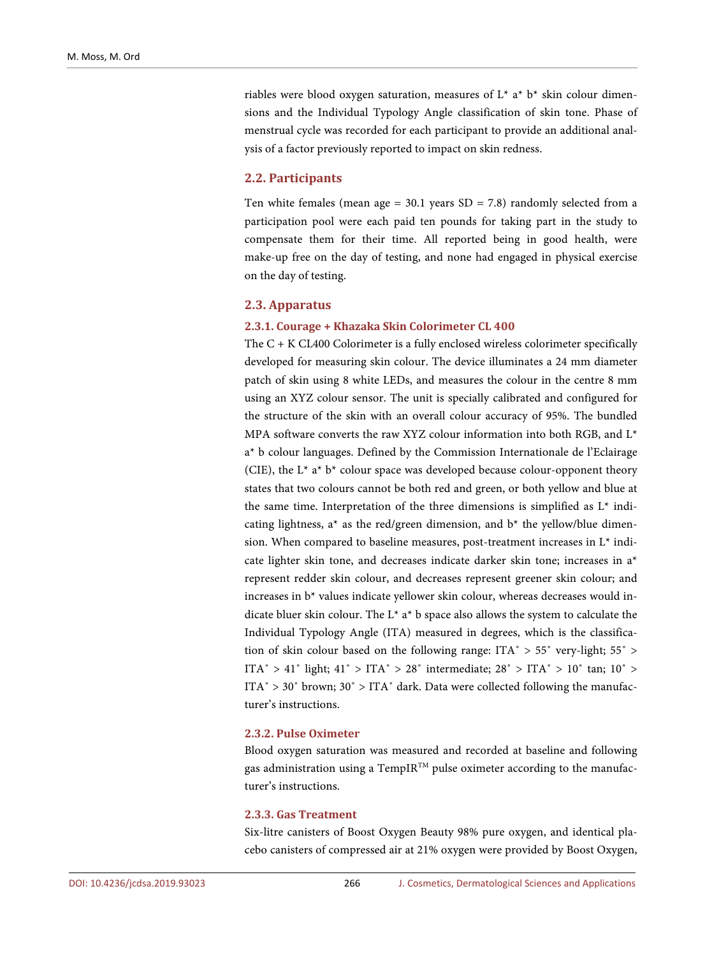riables were blood oxygen saturation, measures of  $L^*$  a<sup>\*</sup> b<sup>\*</sup> skin colour dimensions and the Individual Typology Angle classification of skin tone. Phase of menstrual cycle was recorded for each participant to provide an additional analysis of a factor previously reported to impact on skin redness.

#### **2.2. Participants**

Ten white females (mean age =  $30.1$  years SD =  $7.8$ ) randomly selected from a participation pool were each paid ten pounds for taking part in the study to compensate them for their time. All reported being in good health, were make-up free on the day of testing, and none had engaged in physical exercise on the day of testing.

#### **2.3. Apparatus**

#### **2.3.1. Courage + Khazaka Skin Colorimeter CL 400**

The C + K CL400 Colorimeter is a fully enclosed wireless colorimeter specifically developed for measuring skin colour. The device illuminates a 24 mm diameter patch of skin using 8 white LEDs, and measures the colour in the centre 8 mm using an XYZ colour sensor. The unit is specially calibrated and configured for the structure of the skin with an overall colour accuracy of 95%. The bundled MPA software converts the raw XYZ colour information into both RGB, and  $L^*$ a\* b colour languages. Defined by the Commission Internationale de l'Eclairage (CIE), the  $L^*$  a<sup>\*</sup> b<sup>\*</sup> colour space was developed because colour-opponent theory states that two colours cannot be both red and green, or both yellow and blue at the same time. Interpretation of the three dimensions is simplified as L\* indicating lightness,  $a^*$  as the red/green dimension, and  $b^*$  the yellow/blue dimension. When compared to baseline measures, post-treatment increases in L\* indicate lighter skin tone, and decreases indicate darker skin tone; increases in a\* represent redder skin colour, and decreases represent greener skin colour; and increases in b\* values indicate yellower skin colour, whereas decreases would indicate bluer skin colour. The  $L^*$  a<sup>\*</sup> b space also allows the system to calculate the Individual Typology Angle (ITA) measured in degrees, which is the classification of skin colour based on the following range: ITA˚ > 55˚ very-light; 55˚ > ITA $\degree$  > 41 $\degree$  light; 41 $\degree$  > ITA $\degree$  > 28 $\degree$  intermediate; 28 $\degree$  > ITA $\degree$  > 10 $\degree$  tan; 10 $\degree$  > ITA $\degree$  > 30 $\degree$  brown; 30 $\degree$  > ITA $\degree$  dark. Data were collected following the manufacturer's instructions.

## **2.3.2. Pulse Oximeter**

Blood oxygen saturation was measured and recorded at baseline and following gas administration using a TempIR<sup>TM</sup> pulse oximeter according to the manufacturer's instructions.

#### **2.3.3. Gas Treatment**

Six-litre canisters of Boost Oxygen Beauty 98% pure oxygen, and identical placebo canisters of compressed air at 21% oxygen were provided by Boost Oxygen,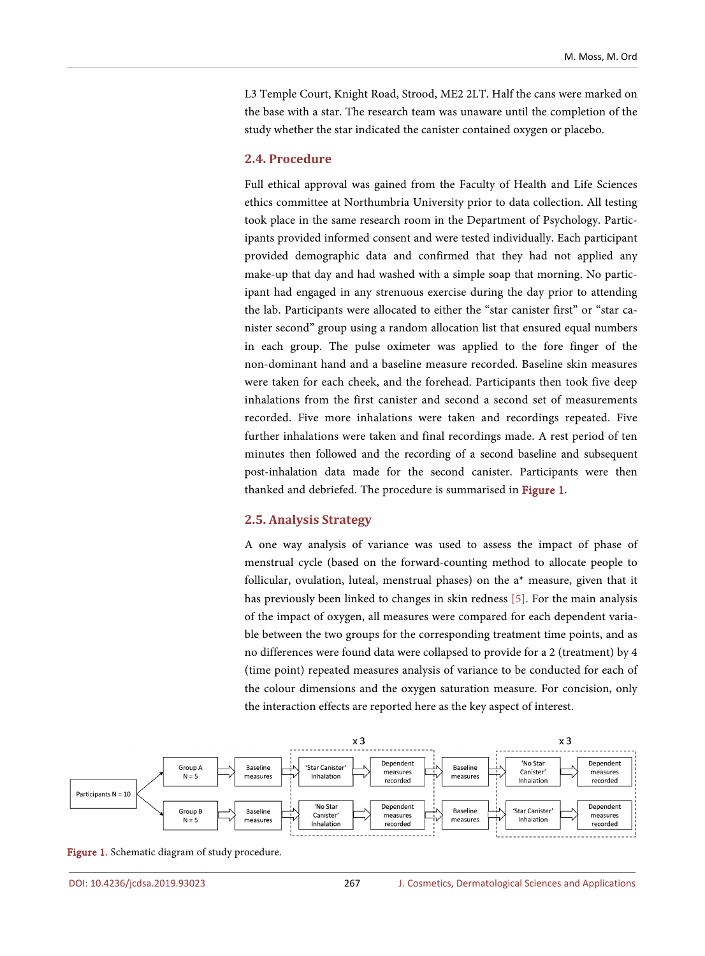L3 Temple Court, Knight Road, Strood, ME2 2LT. Half the cans were marked on the base with a star. The research team was unaware until the completion of the study whether the star indicated the canister contained oxygen or placebo.

#### **2.4. Procedure**

Full ethical approval was gained from the Faculty of Health and Life Sciences ethics committee at Northumbria University prior to data collection. All testing took place in the same research room in the Department of Psychology. Participants provided informed consent and were tested individually. Each participant provided demographic data and confirmed that they had not applied any make-up that day and had washed with a simple soap that morning. No participant had engaged in any strenuous exercise during the day prior to attending the lab. Participants were allocated to either the "star canister first" or "star canister second" group using a random allocation list that ensured equal numbers in each group. The pulse oximeter was applied to the fore finger of the non-dominant hand and a baseline measure recorded. Baseline skin measures were taken for each cheek, and the forehead. Participants then took five deep inhalations from the first canister and second a second set of measurements recorded. Five more inhalations were taken and recordings repeated. Five further inhalations were taken and final recordings made. A rest period of ten minutes then followed and the recording of a second baseline and subsequent post-inhalation data made for the second canister. Participants were then thanked and debriefed. The procedure is summarised in [Figure 1.](#page-4-0)

#### **2.5. Analysis Strategy**

A one way analysis of variance was used to assess the impact of phase of menstrual cycle (based on the forward-counting method to allocate people to follicular, ovulation, luteal, menstrual phases) on the a\* measure, given that it has previously been linked to changes in skin redness [\[5\].](#page-9-4) For the main analysis of the impact of oxygen, all measures were compared for each dependent variable between the two groups for the corresponding treatment time points, and as no differences were found data were collapsed to provide for a 2 (treatment) by 4 (time point) repeated measures analysis of variance to be conducted for each of the colour dimensions and the oxygen saturation measure. For concision, only the interaction effects are reported here as the key aspect of interest.

<span id="page-4-0"></span>

Figure 1. Schematic diagram of study procedure.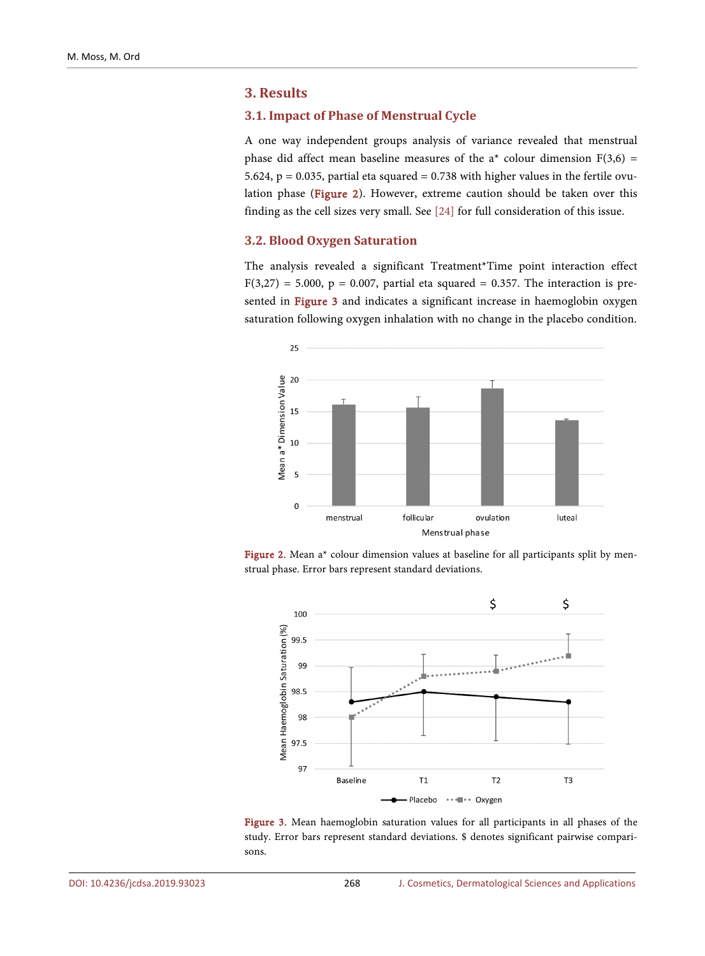## **3. Results**

## **3.1. Impact of Phase of Menstrual Cycle**

A one way independent groups analysis of variance revealed that menstrual phase did affect mean baseline measures of the  $a^*$  colour dimension  $F(3,6)$  = 5.624,  $p = 0.035$ , partial eta squared = 0.738 with higher values in the fertile ovulation phase [\(Figure 2\)](#page-5-0). However, extreme caution should be taken over this finding as the cell sizes very small. See [\[24\]](#page-11-0) for full consideration of this issue.

## **3.2. Blood Oxygen Saturation**

The analysis revealed a significant Treatment\*Time point interaction effect  $F(3,27) = 5.000$ , p = 0.007, partial eta squared = 0.357. The interaction is pre-sented in [Figure 3](#page-5-1) and indicates a significant increase in haemoglobin oxygen saturation following oxygen inhalation with no change in the placebo condition.

<span id="page-5-0"></span>

<span id="page-5-1"></span>Figure 2. Mean a<sup>\*</sup> colour dimension values at baseline for all participants split by menstrual phase. Error bars represent standard deviations.



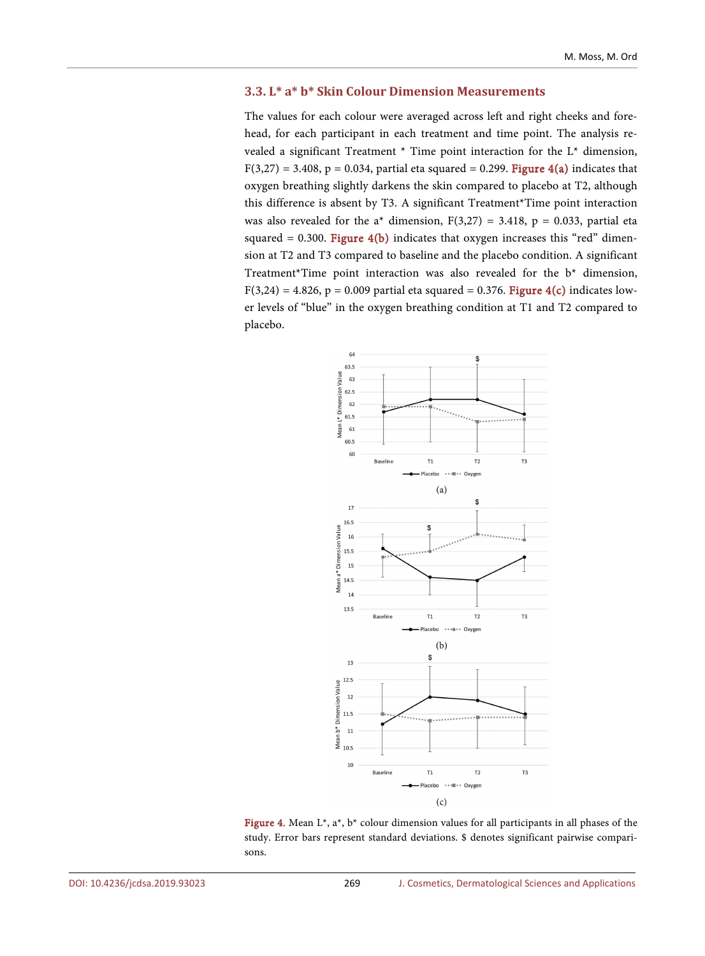## **3.3. L\* a\* b\* Skin Colour Dimension Measurements**

The values for each colour were averaged across left and right cheeks and forehead, for each participant in each treatment and time point. The analysis revealed a significant Treatment \* Time point interaction for the L\* dimension,  $F(3,27) = 3.408$ , p = 0.034, partial eta squared = 0.299. **[Figure 4\(a\)](#page-6-0)** indicates that oxygen breathing slightly darkens the skin compared to placebo at T2, although this difference is absent by T3. A significant Treatment\*Time point interaction was also revealed for the a<sup>\*</sup> dimension,  $F(3,27) = 3.418$ ,  $p = 0.033$ , partial eta squared = 0.300. Figure  $4(b)$  indicates that oxygen increases this "red" dimension at T2 and T3 compared to baseline and the placebo condition. A significant Treatment\*Time point interaction was also revealed for the b\* dimension,  $F(3,24) = 4.826$ , p = 0.009 partial eta squared = 0.376. [Figure 4\(c\)](#page-6-0) indicates lower levels of "blue" in the oxygen breathing condition at T1 and T2 compared to placebo.

<span id="page-6-0"></span>

Figure 4. Mean L\*, a\*, b\* colour dimension values for all participants in all phases of the study. Error bars represent standard deviations. \$ denotes significant pairwise comparisons.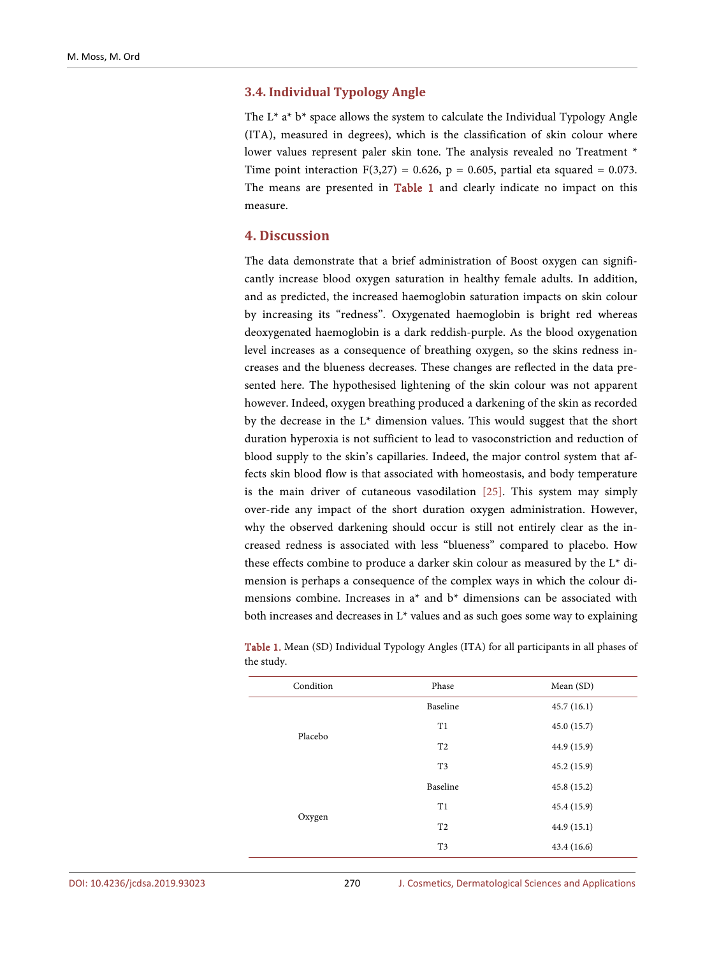## **3.4. Individual Typology Angle**

The  $L^*$  a<sup>\*</sup> b<sup>\*</sup> space allows the system to calculate the Individual Typology Angle (ITA), measured in degrees), which is the classification of skin colour where lower values represent paler skin tone. The analysis revealed no Treatment \* Time point interaction  $F(3,27) = 0.626$ , p = 0.605, partial eta squared = 0.073. The means are presented in [Table 1](#page-7-0) and clearly indicate no impact on this measure.

## **4. Discussion**

The data demonstrate that a brief administration of Boost oxygen can significantly increase blood oxygen saturation in healthy female adults. In addition, and as predicted, the increased haemoglobin saturation impacts on skin colour by increasing its "redness". Oxygenated haemoglobin is bright red whereas deoxygenated haemoglobin is a dark reddish-purple. As the blood oxygenation level increases as a consequence of breathing oxygen, so the skins redness increases and the blueness decreases. These changes are reflected in the data presented here. The hypothesised lightening of the skin colour was not apparent however. Indeed, oxygen breathing produced a darkening of the skin as recorded by the decrease in the L\* dimension values. This would suggest that the short duration hyperoxia is not sufficient to lead to vasoconstriction and reduction of blood supply to the skin's capillaries. Indeed, the major control system that affects skin blood flow is that associated with homeostasis, and body temperature is the main driver of cutaneous vasodilation [\[25\].](#page-11-1) This system may simply over-ride any impact of the short duration oxygen administration. However, why the observed darkening should occur is still not entirely clear as the increased redness is associated with less "blueness" compared to placebo. How these effects combine to produce a darker skin colour as measured by the L\* dimension is perhaps a consequence of the complex ways in which the colour dimensions combine. Increases in  $a^*$  and  $b^*$  dimensions can be associated with both increases and decreases in  $L^*$  values and as such goes some way to explaining

| Condition | Phase          | Mean (SD)   |
|-----------|----------------|-------------|
| Placebo   | Baseline       | 45.7(16.1)  |
|           | T1             | 45.0(15.7)  |
|           | T <sub>2</sub> | 44.9 (15.9) |
|           | T <sub>3</sub> | 45.2(15.9)  |
| Oxygen    | Baseline       | 45.8(15.2)  |
|           | T1             | 45.4(15.9)  |
|           | T <sub>2</sub> | 44.9(15.1)  |
|           | T <sub>3</sub> | 43.4(16.6)  |

<span id="page-7-0"></span>Table 1. Mean (SD) Individual Typology Angles (ITA) for all participants in all phases of the study.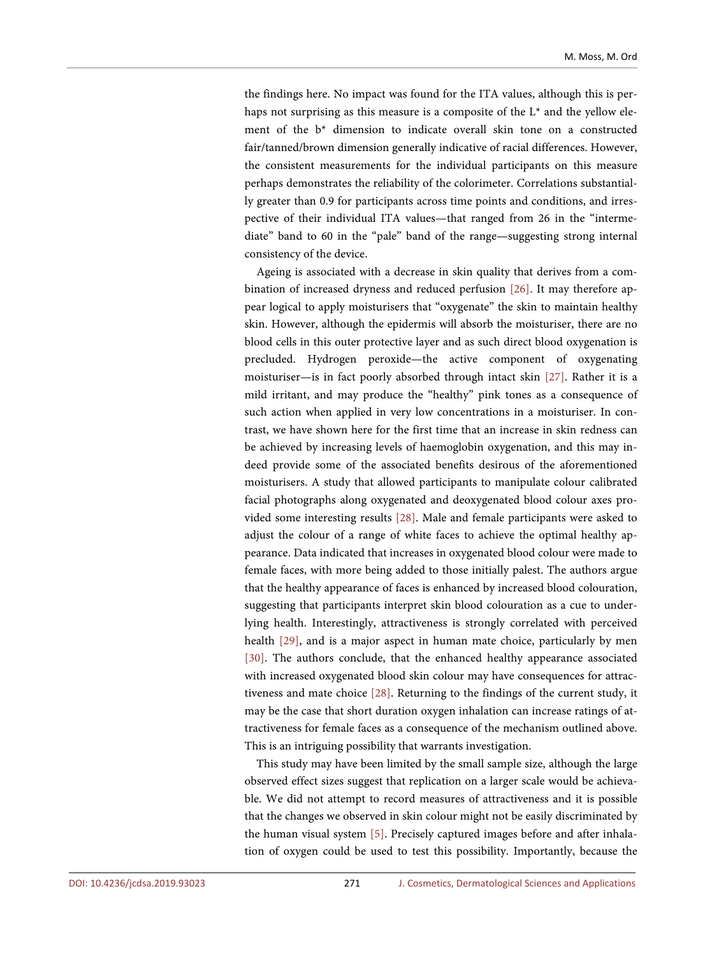the findings here. No impact was found for the ITA values, although this is perhaps not surprising as this measure is a composite of the  $L^*$  and the yellow element of the b\* dimension to indicate overall skin tone on a constructed fair/tanned/brown dimension generally indicative of racial differences. However, the consistent measurements for the individual participants on this measure perhaps demonstrates the reliability of the colorimeter. Correlations substantially greater than 0.9 for participants across time points and conditions, and irrespective of their individual ITA values—that ranged from 26 in the "intermediate" band to 60 in the "pale" band of the range—suggesting strong internal consistency of the device.

Ageing is associated with a decrease in skin quality that derives from a combination of increased dryness and reduced perfusion [\[26\].](#page-11-2) It may therefore appear logical to apply moisturisers that "oxygenate" the skin to maintain healthy skin. However, although the epidermis will absorb the moisturiser, there are no blood cells in this outer protective layer and as such direct blood oxygenation is precluded. Hydrogen peroxide—the active component of oxygenating moisturiser—is in fact poorly absorbed through intact skin [\[27\].](#page-11-3) Rather it is a mild irritant, and may produce the "healthy" pink tones as a consequence of such action when applied in very low concentrations in a moisturiser. In contrast, we have shown here for the first time that an increase in skin redness can be achieved by increasing levels of haemoglobin oxygenation, and this may indeed provide some of the associated benefits desirous of the aforementioned moisturisers. A study that allowed participants to manipulate colour calibrated facial photographs along oxygenated and deoxygenated blood colour axes provided some interesting results [\[28\].](#page-11-4) Male and female participants were asked to adjust the colour of a range of white faces to achieve the optimal healthy appearance. Data indicated that increases in oxygenated blood colour were made to female faces, with more being added to those initially palest. The authors argue that the healthy appearance of faces is enhanced by increased blood colouration, suggesting that participants interpret skin blood colouration as a cue to underlying health. Interestingly, attractiveness is strongly correlated with perceived health [\[29\],](#page-11-5) and is a major aspect in human mate choice, particularly by men [\[30\].](#page-11-6) The authors conclude, that the enhanced healthy appearance associated with increased oxygenated blood skin colour may have consequences for attractiveness and mate choice [\[28\].](#page-11-4) Returning to the findings of the current study, it may be the case that short duration oxygen inhalation can increase ratings of attractiveness for female faces as a consequence of the mechanism outlined above. This is an intriguing possibility that warrants investigation.

This study may have been limited by the small sample size, although the large observed effect sizes suggest that replication on a larger scale would be achievable. We did not attempt to record measures of attractiveness and it is possible that the changes we observed in skin colour might not be easily discriminated by the human visual system [\[5\].](#page-9-4) Precisely captured images before and after inhalation of oxygen could be used to test this possibility. Importantly, because the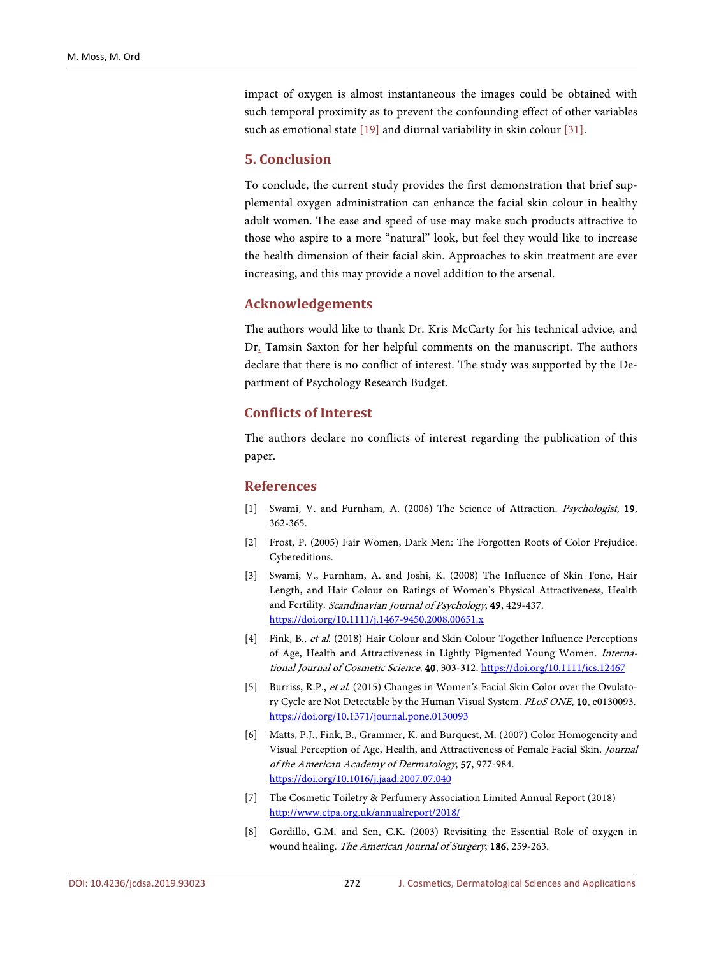impact of oxygen is almost instantaneous the images could be obtained with such temporal proximity as to prevent the confounding effect of other variables such as emotional state [\[19\]](#page-10-10) and diurnal variability in skin colour [\[31\].](#page-11-7)

## **5. Conclusion**

To conclude, the current study provides the first demonstration that brief supplemental oxygen administration can enhance the facial skin colour in healthy adult women. The ease and speed of use may make such products attractive to those who aspire to a more "natural" look, but feel they would like to increase the health dimension of their facial skin. Approaches to skin treatment are ever increasing, and this may provide a novel addition to the arsenal.

# **Acknowledgements**

The authors would like to thank Dr. Kris McCarty for his technical advice, and Dr. Tamsin Saxton for her helpful comments on the manuscript. The authors declare that there is no conflict of interest. The study was supported by the Department of Psychology Research Budget.

# **Conflicts of Interest**

The authors declare no conflicts of interest regarding the publication of this paper.

#### **References**

- <span id="page-9-0"></span>[1] Swami, V. and Furnham, A. (2006) The Science of Attraction. Psychologist, 19, 362-365.
- <span id="page-9-1"></span>[2] Frost, P. (2005) Fair Women, Dark Men: The Forgotten Roots of Color Prejudice. Cybereditions.
- <span id="page-9-2"></span>[3] Swami, V., Furnham, A. and Joshi, K. (2008) The Influence of Skin Tone, Hair Length, and Hair Colour on Ratings of Women's Physical Attractiveness, Health and Fertility. Scandinavian Journal of Psychology, 49, 429-437. <https://doi.org/10.1111/j.1467-9450.2008.00651.x>
- <span id="page-9-3"></span>[4] Fink, B., et al. (2018) Hair Colour and Skin Colour Together Influence Perceptions of Age, Health and Attractiveness in Lightly Pigmented Young Women. International Journal of Cosmetic Science, 40, 303-312. <https://doi.org/10.1111/ics.12467>
- <span id="page-9-4"></span>[5] Burriss, R.P., et al. (2015) Changes in Women's Facial Skin Color over the Ovulatory Cycle are Not Detectable by the Human Visual System. PLoS ONE, 10, e0130093. <https://doi.org/10.1371/journal.pone.0130093>
- <span id="page-9-5"></span>[6] Matts, P.J., Fink, B., Grammer, K. and Burquest, M. (2007) Color Homogeneity and Visual Perception of Age, Health, and Attractiveness of Female Facial Skin. Journal of the American Academy of Dermatology, 57, 977-984. <https://doi.org/10.1016/j.jaad.2007.07.040>
- <span id="page-9-6"></span>[7] The Cosmetic Toiletry & Perfumery Association Limited Annual Report (2018) <http://www.ctpa.org.uk/annualreport/2018/>
- <span id="page-9-7"></span>[8] Gordillo, G.M. and Sen, C.K. (2003) Revisiting the Essential Role of oxygen in wound healing. The American Journal of Surgery, 186, 259-263.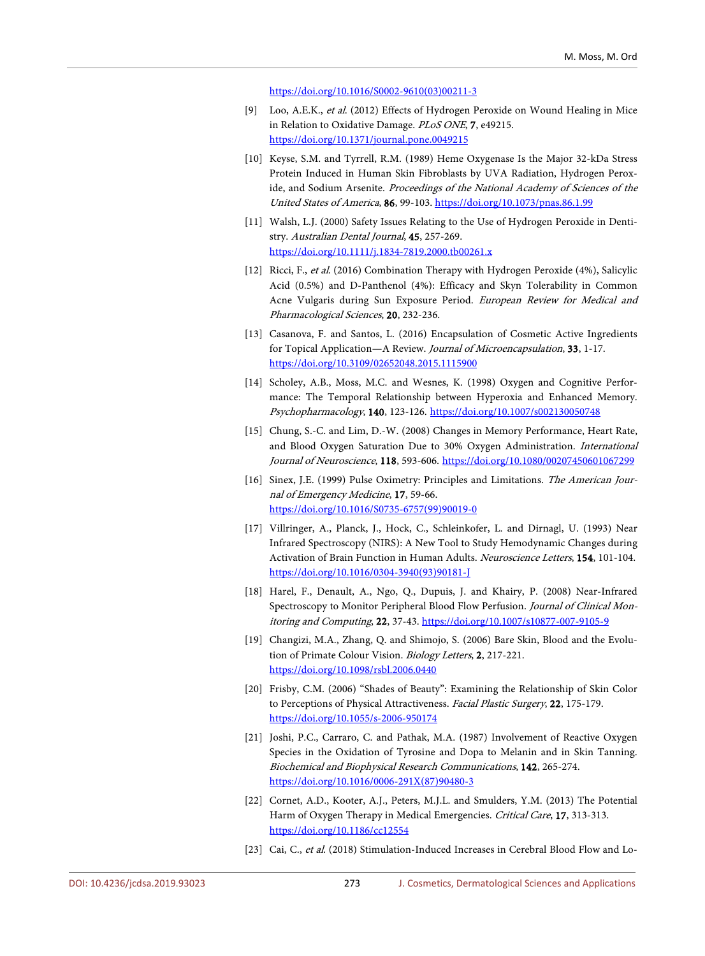[https://doi.org/10.1016/S0002-9610\(03\)00211-3](https://doi.org/10.1016/S0002-9610(03)00211-3)

- <span id="page-10-0"></span>[9] Loo, A.E.K., et al. (2012) Effects of Hydrogen Peroxide on Wound Healing in Mice in Relation to Oxidative Damage. PLoS ONE, 7, e49215. <https://doi.org/10.1371/journal.pone.0049215>
- <span id="page-10-1"></span>[10] Keyse, S.M. and Tyrrell, R.M. (1989) Heme Oxygenase Is the Major 32-kDa Stress Protein Induced in Human Skin Fibroblasts by UVA Radiation, Hydrogen Peroxide, and Sodium Arsenite. Proceedings of the National Academy of Sciences of the United States of America, 86, 99-103. <https://doi.org/10.1073/pnas.86.1.99>
- <span id="page-10-2"></span>[11] Walsh, L.J. (2000) Safety Issues Relating to the Use of Hydrogen Peroxide in Dentistry. Australian Dental Journal, 45, 257-269. <https://doi.org/10.1111/j.1834-7819.2000.tb00261.x>
- <span id="page-10-3"></span>[12] Ricci, F., et al. (2016) Combination Therapy with Hydrogen Peroxide (4%), Salicylic Acid (0.5%) and D-Panthenol (4%): Efficacy and Skyn Tolerability in Common Acne Vulgaris during Sun Exposure Period. European Review for Medical and Pharmacological Sciences, 20, 232-236.
- <span id="page-10-4"></span>[13] Casanova, F. and Santos, L. (2016) Encapsulation of Cosmetic Active Ingredients for Topical Application—A Review. Journal of Microencapsulation, 33, 1-17. <https://doi.org/10.3109/02652048.2015.1115900>
- <span id="page-10-5"></span>[14] Scholey, A.B., Moss, M.C. and Wesnes, K. (1998) Oxygen and Cognitive Performance: The Temporal Relationship between Hyperoxia and Enhanced Memory. Psychopharmacology, 140, 123-126. <https://doi.org/10.1007/s002130050748>
- <span id="page-10-6"></span>[15] Chung, S.-C. and Lim, D.-W. (2008) Changes in Memory Performance, Heart Rate, and Blood Oxygen Saturation Due to 30% Oxygen Administration. International Journal of Neuroscience, 118, 593-606. <https://doi.org/10.1080/00207450601067299>
- <span id="page-10-7"></span>[16] Sinex, J.E. (1999) Pulse Oximetry: Principles and Limitations. The American Journal of Emergency Medicine, 17, 59-66. [https://doi.org/10.1016/S0735-6757\(99\)90019-0](https://doi.org/10.1016/S0735-6757(99)90019-0)
- <span id="page-10-8"></span>[17] Villringer, A., Planck, J., Hock, C., Schleinkofer, L. and Dirnagl, U. (1993) Near Infrared Spectroscopy (NIRS): A New Tool to Study Hemodynamic Changes during Activation of Brain Function in Human Adults. Neuroscience Letters, 154, 101-104. [https://doi.org/10.1016/0304-3940\(93\)90181-J](https://doi.org/10.1016/0304-3940(93)90181-J)
- <span id="page-10-9"></span>[18] Harel, F., Denault, A., Ngo, Q., Dupuis, J. and Khairy, P. (2008) Near-Infrared Spectroscopy to Monitor Peripheral Blood Flow Perfusion. Journal of Clinical Monitoring and Computing, 22, 37-43. <https://doi.org/10.1007/s10877-007-9105-9>
- <span id="page-10-10"></span>[19] Changizi, M.A., Zhang, Q. and Shimojo, S. (2006) Bare Skin, Blood and the Evolution of Primate Colour Vision. Biology Letters, 2, 217-221. <https://doi.org/10.1098/rsbl.2006.0440>
- <span id="page-10-11"></span>[20] Frisby, C.M. (2006) "Shades of Beauty": Examining the Relationship of Skin Color to Perceptions of Physical Attractiveness. Facial Plastic Surgery, 22, 175-179. <https://doi.org/10.1055/s-2006-950174>
- <span id="page-10-12"></span>[21] Joshi, P.C., Carraro, C. and Pathak, M.A. (1987) Involvement of Reactive Oxygen Species in the Oxidation of Tyrosine and Dopa to Melanin and in Skin Tanning. Biochemical and Biophysical Research Communications, 142, 265-274. [https://doi.org/10.1016/0006-291X\(87\)90480-3](https://doi.org/10.1016/0006-291X(87)90480-3)
- <span id="page-10-13"></span>[22] Cornet, A.D., Kooter, A.J., Peters, M.J.L. and Smulders, Y.M. (2013) The Potential Harm of Oxygen Therapy in Medical Emergencies. Critical Care, 17, 313-313. <https://doi.org/10.1186/cc12554>
- <span id="page-10-14"></span>[23] Cai, C., et al. (2018) Stimulation-Induced Increases in Cerebral Blood Flow and Lo-